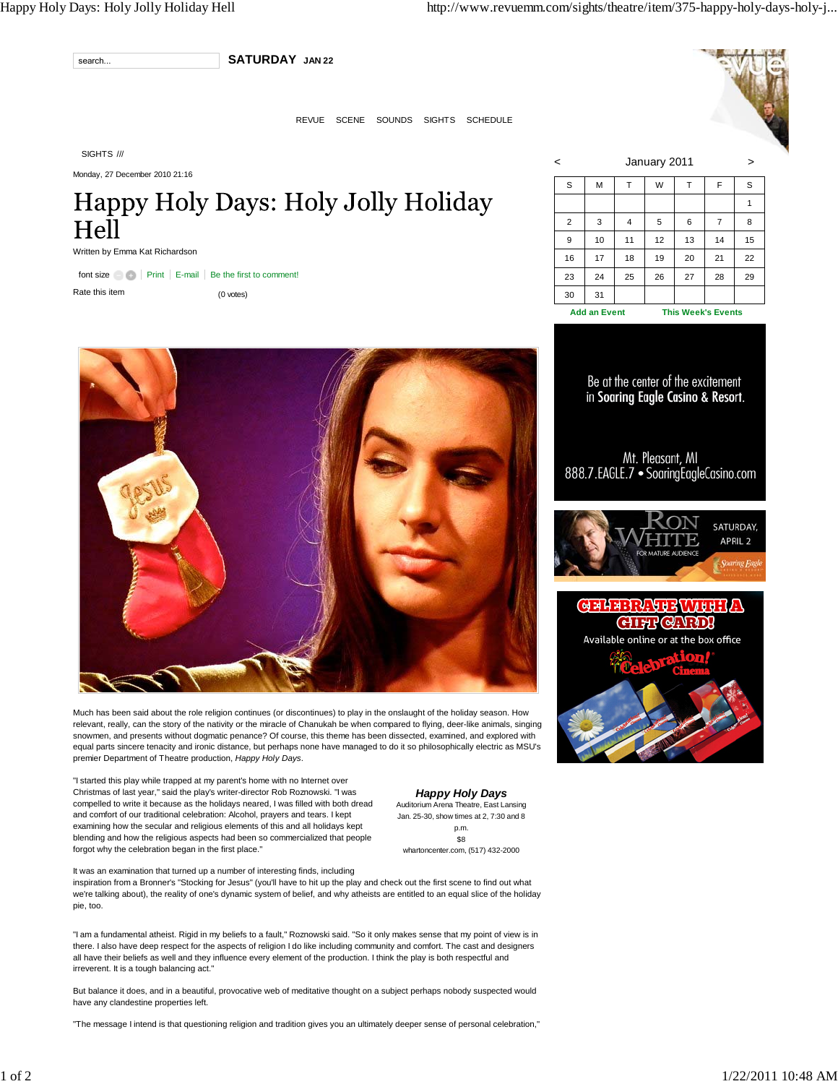

**SATURDAY JAN 22**

REVUE SCENE SOUNDS SIGHTS SCHEDULE

SIGHTS ///

Monday, 27 December 2010 21:16

## Happy Holy Days: Holy Jolly Holiday Hell

|  | Written by Emma Kat Richardson |
|--|--------------------------------|
|--|--------------------------------|

font size **Print** E-mail Be the first to comment! Rate this item (0 votes)



Much has been said about the role religion continues (or discontinues) to play in the onslaught of the holiday season. How relevant, really, can the story of the nativity or the miracle of Chanukah be when compared to flying, deer-like animals, singing snowmen, and presents without dogmatic penance? Of course, this theme has been dissected, examined, and explored with equal parts sincere tenacity and ironic distance, but perhaps none have managed to do it so philosophically electric as MSU's premier Department of Theatre production, *Happy Holy Days*.

"I started this play while trapped at my parent's home with no Internet over Christmas of last year," said the play's writer-director Rob Roznowski. "I was compelled to write it because as the holidays neared, I was filled with both dread and comfort of our traditional celebration: Alcohol, prayers and tears. I kept examining how the secular and religious elements of this and all holidays kept blending and how the religious aspects had been so commercialized that people forgot why the celebration began in the first place."

*Happy Holy Days* Auditorium Arena Theatre, East Lansing Jan. 25-30, show times at 2, 7:30 and 8 p.m. \$8 whartoncenter.com, (517) 432-2000

It was an examination that turned up a number of interesting finds, including inspiration from a Bronner's "Stocking for Jesus" (you'll have to hit up the play and check out the first scene to find out what we're talking about), the reality of one's dynamic system of belief, and why atheists are entitled to an equal slice of the holiday pie, too.

"I am a fundamental atheist. Rigid in my beliefs to a fault," Roznowski said. "So it only makes sense that my point of view is in there. I also have deep respect for the aspects of religion I do like including community and comfort. The cast and designers all have their beliefs as well and they influence every element of the production. I think the play is both respectful and irreverent. It is a tough balancing act."

But balance it does, and in a beautiful, provocative web of meditative thought on a subject perhaps nobody suspected would have any clandestine properties left.

"The message I intend is that questioning religion and tradition gives you an ultimately deeper sense of personal celebration,"

| January 2011<br>$\,<\,$<br>> |                     |    |    |    |                           |    |
|------------------------------|---------------------|----|----|----|---------------------------|----|
| S                            | M                   | T  | W  | т  | F                         | S  |
|                              |                     |    |    |    |                           | 1  |
| $\overline{2}$               | 3                   | 4  | 5  | 6  | $\overline{7}$            | 8  |
| 9                            | 10                  | 11 | 12 | 13 | 14                        | 15 |
| 16                           | 17                  | 18 | 19 | 20 | 21                        | 22 |
| 23                           | 24                  | 25 | 26 | 27 | 28                        | 29 |
| 30                           | 31                  |    |    |    |                           |    |
|                              | <b>Add an Event</b> |    |    |    | <b>This Week's Events</b> |    |

Be at the center of the excitement in Soaring Eagle Casino & Resort.

Mt. Pleasant, MI<br>888.7.EAGLE.7 • SoaringEagleCasino.com